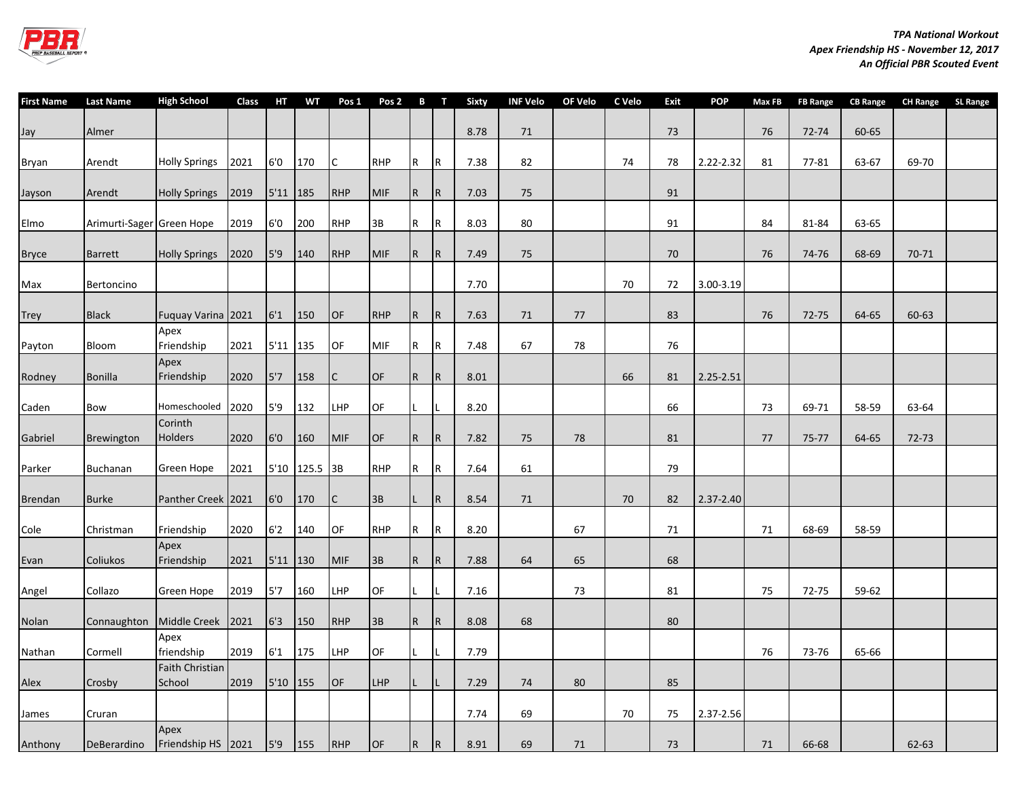

| <b>First Name</b> | <b>Last Name</b>          | <b>High School</b>         | Class | HТ         | <b>WT</b>     | Pos <sub>1</sub> | Pos <sub>2</sub> |              | B T            | <b>Sixty</b> | <b>INF Velo</b> | OF Velo | C Velo | Exit | <b>POP</b> | Max FB | <b>FB Range</b> | <b>CB Range</b> | <b>CH Range</b> | <b>SL Range</b> |
|-------------------|---------------------------|----------------------------|-------|------------|---------------|------------------|------------------|--------------|----------------|--------------|-----------------|---------|--------|------|------------|--------|-----------------|-----------------|-----------------|-----------------|
| Jay               | Almer                     |                            |       |            |               |                  |                  |              |                | 8.78         | 71              |         |        | 73   |            | 76     | 72-74           | 60-65           |                 |                 |
| Bryan             | Arendt                    | <b>Holly Springs</b>       | 2021  | 6'0        | 170           |                  | <b>RHP</b>       | $\mathsf{R}$ | $\mathsf{R}$   | 7.38         | 82              |         | 74     | 78   | 2.22-2.32  | 81     | 77-81           | 63-67           | 69-70           |                 |
| Jayson            | Arendt                    | <b>Holly Springs</b>       | 2019  | 5'11 185   |               | <b>RHP</b>       | <b>MIF</b>       | $\mathsf{R}$ | R.             | 7.03         | 75              |         |        | 91   |            |        |                 |                 |                 |                 |
| Elmo              | Arimurti-Sager Green Hope |                            | 2019  | 6'0        | 200           | <b>RHP</b>       | 3B               | $\mathsf R$  | $\mathsf R$    | 8.03         | 80              |         |        | 91   |            | 84     | 81-84           | 63-65           |                 |                 |
| <b>Bryce</b>      | <b>Barrett</b>            | <b>Holly Springs</b>       | 2020  | 5'9        | 140           | <b>RHP</b>       | <b>MIF</b>       | $\mathsf{R}$ | $\mathsf R$    | 7.49         | 75              |         |        | 70   |            | 76     | 74-76           | 68-69           | 70-71           |                 |
| Max               | Bertoncino                |                            |       |            |               |                  |                  |              |                | 7.70         |                 |         | 70     | 72   | 3.00-3.19  |        |                 |                 |                 |                 |
| <b>Trey</b>       | <b>Black</b>              | Fuquay Varina 2021         |       | 6'1        | 150           | OF               | <b>RHP</b>       | $\mathsf{R}$ | $\mathsf R$    | 7.63         | 71              | 77      |        | 83   |            | 76     | 72-75           | 64-65           | 60-63           |                 |
| Payton            | Bloom                     | Apex<br>Friendship         | 2021  | 5'11 135   |               | OF               | <b>MIF</b>       | R            | R              | 7.48         | 67              | 78      |        | 76   |            |        |                 |                 |                 |                 |
| Rodney            | <b>Bonilla</b>            | Apex<br>Friendship         | 2020  | 5'7        | 158           |                  | <b>OF</b>        | $\mathsf{R}$ | R.             | 8.01         |                 |         | 66     | 81   | 2.25-2.51  |        |                 |                 |                 |                 |
| Caden             | Bow                       | Homeschooled 2020          |       | 5'9        | 132           | <b>LHP</b>       | OF               |              |                | 8.20         |                 |         |        | 66   |            | 73     | 69-71           | 58-59           | 63-64           |                 |
| Gabriel           | <b>Brewington</b>         | Corinth<br>Holders         | 2020  | 6'0        | 160           | <b>MIF</b>       | <b>OF</b>        | $\mathsf{R}$ | R              | 7.82         | 75              | 78      |        | 81   |            | 77     | 75-77           | 64-65           | 72-73           |                 |
| Parker            | <b>Buchanan</b>           | Green Hope                 | 2021  |            | 5'10 125.5 3B |                  | <b>RHP</b>       | R            | R              | 7.64         | 61              |         |        | 79   |            |        |                 |                 |                 |                 |
| Brendan           | <b>Burke</b>              | Panther Creek 2021         |       | 6'0        | 170           |                  | 3B               |              | R              | 8.54         | 71              |         | 70     | 82   | 2.37-2.40  |        |                 |                 |                 |                 |
| Cole              | Christman                 | Friendship                 | 2020  | 6'2        | 140           | OF               | <b>RHP</b>       | R            | $\mathsf R$    | 8.20         |                 | 67      |        | 71   |            | 71     | 68-69           | 58-59           |                 |                 |
| Evan              | Coliukos                  | Apex<br>Friendship         | 2021  | 5'11 130   |               | <b>MIF</b>       | 3B               | $\mathsf{R}$ | $\overline{R}$ | 7.88         | 64              | 65      |        | 68   |            |        |                 |                 |                 |                 |
| Angel             | Collazo                   | Green Hope                 | 2019  | 5'7        | 160           | <b>LHP</b>       | OF               | L            | L              | 7.16         |                 | 73      |        | 81   |            | 75     | 72-75           | 59-62           |                 |                 |
| Nolan             | Connaughton               | Middle Creek 2021          |       | 6'3        | 150           | <b>RHP</b>       | 3B               | $\mathsf{R}$ | $\overline{R}$ | 8.08         | 68              |         |        | 80   |            |        |                 |                 |                 |                 |
| Nathan            | Cormell                   | Apex<br>friendship         | 2019  | 6'1        | 175           | <b>LHP</b>       | OF               |              |                | 7.79         |                 |         |        |      |            | 76     | 73-76           | 65-66           |                 |                 |
| Alex              | Crosby                    | Faith Christian<br>School  | 2019  | $5'10$ 155 |               | OF               | <b>LHP</b>       |              |                | 7.29         | 74              | 80      |        | 85   |            |        |                 |                 |                 |                 |
| James             | Cruran                    |                            |       |            |               |                  |                  |              |                | 7.74         | 69              |         | 70     | 75   | 2.37-2.56  |        |                 |                 |                 |                 |
| Anthony           | <b>DeBerardino</b>        | Apex<br>Friendship HS 2021 |       | 5'9        | 155           | <b>RHP</b>       | OF               | $\mathsf R$  | R              | 8.91         | 69              | 71      |        | 73   |            | 71     | 66-68           |                 | 62-63           |                 |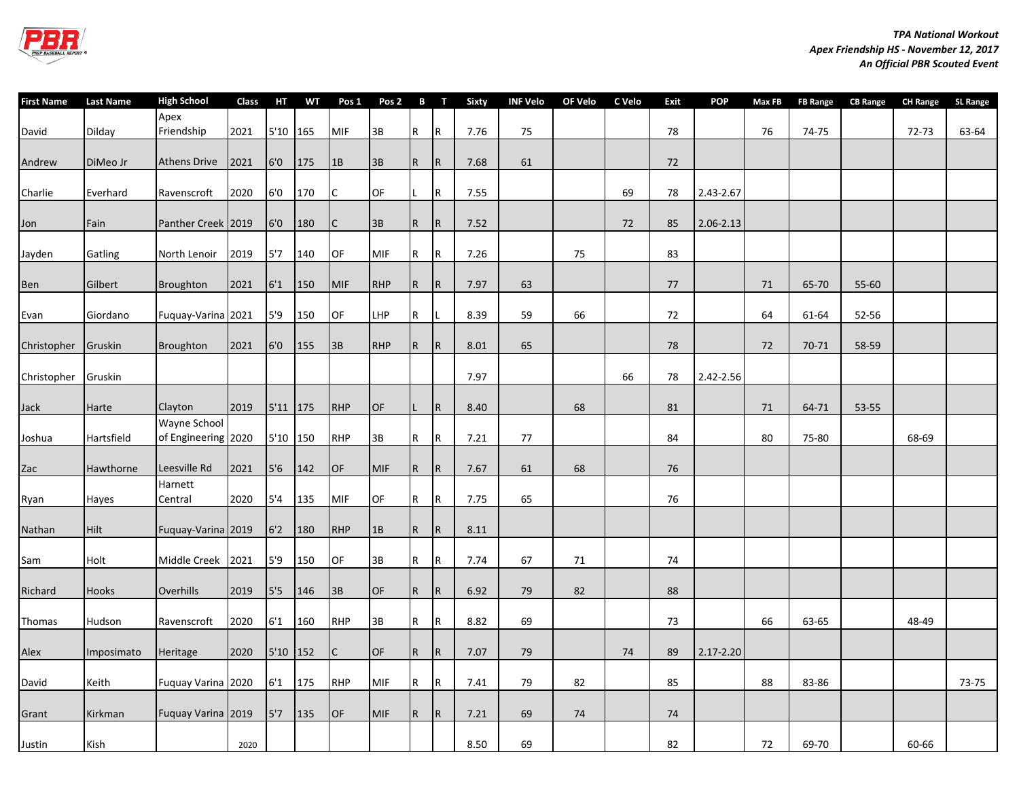

| <b>First Name</b> | <b>Last Name</b> | <b>High School</b>                  | Class | HT         | <b>WT</b> | Pos 1      | Pos 2 B T  |                 |     | <b>Sixty</b> | <b>INF Velo</b> | OF Velo | C Velo | <b>Exit</b> | <b>POP</b>    | Max FB | <b>FB Range</b> | <b>CB Range</b> | <b>CH Range</b> | <b>SL Range</b> |
|-------------------|------------------|-------------------------------------|-------|------------|-----------|------------|------------|-----------------|-----|--------------|-----------------|---------|--------|-------------|---------------|--------|-----------------|-----------------|-----------------|-----------------|
| David             | Dilday           | Apex<br>Friendship                  | 2021  | 5'10       | 165       | <b>MIF</b> | 3B         | R               | l R | 7.76         | 75              |         |        | 78          |               | 76     | 74-75           |                 | 72-73           | 63-64           |
| Andrew            | DiMeo Jr         | <b>Athens Drive</b>                 | 2021  | 6'0        | 175       | 1B         | 3B         | IR.             | IR. | 7.68         | 61              |         |        | 72          |               |        |                 |                 |                 |                 |
| Charlie           | Everhard         | Ravenscroft                         | 2020  | 6'0        | 170       | C          | OF         |                 | R   | 7.55         |                 |         | 69     | 78          | 2.43-2.67     |        |                 |                 |                 |                 |
| Jon               | Fain             | Panther Creek 2019                  |       | 6'0        | 180       | C          | 3B         | R               | IR. | 7.52         |                 |         | 72     | 85          | $2.06 - 2.13$ |        |                 |                 |                 |                 |
| Jayden            | Gatling          | North Lenoir                        | 2019  | 5'7        | 140       | OF         | MIF        | R               | R   | 7.26         |                 | 75      |        | 83          |               |        |                 |                 |                 |                 |
| Ben               | Gilbert          | Broughton                           | 2021  | 6'1        | 150       | <b>MIF</b> | <b>RHP</b> | R               | IR. | 7.97         | 63              |         |        | $77\,$      |               | 71     | 65-70           | 55-60           |                 |                 |
| Evan              | Giordano         | Fuquay-Varina 2021                  |       | 5'9        | 150       | OF         | LHP        | $\vert R \vert$ |     | 8.39         | 59              | 66      |        | 72          |               | 64     | 61-64           | 52-56           |                 |                 |
| Christopher       | Gruskin          | Broughton                           | 2021  | 6'0        | 155       | 3B         | <b>RHP</b> | R               | IR. | 8.01         | 65              |         |        | 78          |               | 72     | 70-71           | 58-59           |                 |                 |
| Christopher       | Gruskin          |                                     |       |            |           |            |            |                 |     | 7.97         |                 |         | 66     | 78          | 2.42-2.56     |        |                 |                 |                 |                 |
| Jack              | Harte            | Clayton                             | 2019  | $5'11$ 175 |           | <b>RHP</b> | OF         |                 | IR. | 8.40         |                 | 68      |        | 81          |               | 71     | 64-71           | 53-55           |                 |                 |
| Joshua            | Hartsfield       | Wayne School<br>of Engineering 2020 |       | 5'10       | 150       | <b>RHP</b> | 3B         | R               | R.  | 7.21         | 77              |         |        | 84          |               | 80     | 75-80           |                 | 68-69           |                 |
| Zac               | Hawthorne        | Leesville Rd                        | 2021  | 5'6        | 142       | OF         | <b>MIF</b> | R               | R   | 7.67         | 61              | 68      |        | 76          |               |        |                 |                 |                 |                 |
| Ryan              | Hayes            | Harnett<br>Central                  | 2020  | 5'4        | 135       | MIF        | OF         | R               | R   | 7.75         | 65              |         |        | 76          |               |        |                 |                 |                 |                 |
| Nathan            | <b>Hilt</b>      | Fuguay-Varina 2019                  |       | 6'2        | 180       | <b>RHP</b> | 1B         | R               | IR. | 8.11         |                 |         |        |             |               |        |                 |                 |                 |                 |
| Sam               | Holt             | Middle Creek                        | 2021  | 5'9        | 150       | OF         | 3B         | R               | R   | 7.74         | 67              | 71      |        | 74          |               |        |                 |                 |                 |                 |
| Richard           | Hooks            | Overhills                           | 2019  | 5'5        | 146       | 3B         | <b>OF</b>  | R               | IR. | 6.92         | 79              | 82      |        | 88          |               |        |                 |                 |                 |                 |
| Thomas            | Hudson           | Ravenscroft                         | 2020  | 6'1        | 160       | <b>RHP</b> | 3B         | IR.             | R   | 8.82         | 69              |         |        | 73          |               | 66     | 63-65           |                 | 48-49           |                 |
| Alex              | Imposimato       | Heritage                            | 2020  | 5'10 152   |           | C          | <b>OF</b>  | R               | R   | 7.07         | 79              |         | 74     | 89          | 2.17-2.20     |        |                 |                 |                 |                 |
| David             | Keith            | Fuquay Varina 2020                  |       | 6'1        | 175       | <b>RHP</b> | MIF        | $\vert R \vert$ | R   | 7.41         | 79              | 82      |        | 85          |               | 88     | 83-86           |                 |                 | 73-75           |
| Grant             | Kirkman          | Fuquay Varina 2019                  |       | 5'7        | 135       | OF         | <b>MIF</b> | R               | R   | 7.21         | 69              | 74      |        | 74          |               |        |                 |                 |                 |                 |
| Justin            | Kish             |                                     | 2020  |            |           |            |            |                 |     | 8.50         | 69              |         |        | 82          |               | 72     | 69-70           |                 | 60-66           |                 |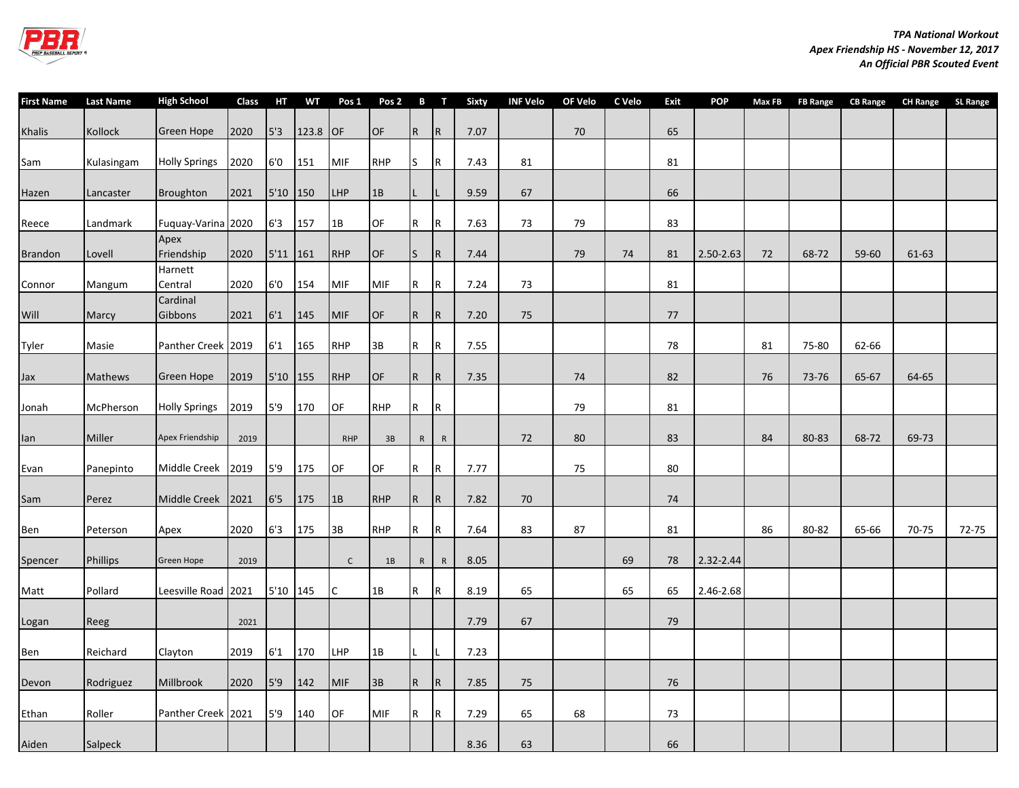

| <b>First Name</b> | <b>Last Name</b> | <b>High School</b>   | Class | HT       | <b>WT</b> | Pos 1        | Pos <sub>2</sub> |                | $\mathbf{B}$ T | Sixty | INF Velo | OF Velo | C Velo | <b>Exit</b> | <b>POP</b> | Max FB | <b>FB Range</b> | <b>CB Range</b> | <b>CH Range</b> | <b>SL Range</b> |
|-------------------|------------------|----------------------|-------|----------|-----------|--------------|------------------|----------------|----------------|-------|----------|---------|--------|-------------|------------|--------|-----------------|-----------------|-----------------|-----------------|
| Khalis            | Kollock          | Green Hope           | 2020  | 5'3      | 123.8     | OF           | <b>OF</b>        | $\overline{R}$ | R.             | 7.07  |          | 70      |        | 65          |            |        |                 |                 |                 |                 |
| Sam               | Kulasingam       | <b>Holly Springs</b> | 2020  | 6'0      | 151       | MIF          | <b>RHP</b>       | ls.            | R              | 7.43  | 81       |         |        | 81          |            |        |                 |                 |                 |                 |
| Hazen             | Lancaster        | Broughton            | 2021  | 5'10 150 |           | <b>LHP</b>   | 1B               |                |                | 9.59  | 67       |         |        | 66          |            |        |                 |                 |                 |                 |
| Reece             | Landmark         | Fuquay-Varina 2020   |       | 6'3      | 157       | 1B           | OF               | $\mathsf R$    | R              | 7.63  | 73       | 79      |        | 83          |            |        |                 |                 |                 |                 |
| <b>Brandon</b>    | Lovell           | Apex<br>Friendship   | 2020  | 5'11 161 |           | <b>RHP</b>   | OF               | ls.            | $\overline{R}$ | 7.44  |          | 79      | 74     | 81          | 2.50-2.63  | 72     | 68-72           | 59-60           | 61-63           |                 |
| Connor            | Mangum           | Harnett<br>Central   | 2020  | 6'0      | 154       | <b>MIF</b>   | <b>MIF</b>       | R              | IR.            | 7.24  | 73       |         |        | 81          |            |        |                 |                 |                 |                 |
| Will              | Marcy            | Cardinal<br>Gibbons  | 2021  | 6'1      | 145       | <b>MIF</b>   | OF               | IR.            | IR.            | 7.20  | 75       |         |        | 77          |            |        |                 |                 |                 |                 |
| Tyler             | Masie            | Panther Creek 2019   |       | 6'1      | 165       | <b>RHP</b>   | 3B               | l R            | R              | 7.55  |          |         |        | 78          |            | 81     | 75-80           | 62-66           |                 |                 |
| Jax               | Mathews          | Green Hope           | 2019  | 5'10 155 |           | <b>RHP</b>   | <b>OF</b>        | R.             | IR.            | 7.35  |          | 74      |        | 82          |            | 76     | 73-76           | 65-67           | 64-65           |                 |
| Jonah             | McPherson        | <b>Holly Springs</b> | 2019  | 5'9      | 170       | OF           | <b>RHP</b>       | R              | IR.            |       |          | 79      |        | 81          |            |        |                 |                 |                 |                 |
| lan               | Miller           | Apex Friendship      | 2019  |          |           | <b>RHP</b>   | 3B               | $\mathsf{R}$   | ${\sf R}$      |       | 72       | 80      |        | 83          |            | 84     | 80-83           | 68-72           | 69-73           |                 |
| Evan              | Panepinto        | Middle Creek         | 2019  | 5'9      | 175       | OF           | OF               | R              | R              | 7.77  |          | 75      |        | 80          |            |        |                 |                 |                 |                 |
| Sam               | Perez            | Middle Creek 2021    |       | 6'5      | 175       | 1B           | <b>RHP</b>       | IR.            | R.             | 7.82  | 70       |         |        | 74          |            |        |                 |                 |                 |                 |
| Ben               | Peterson         | Apex                 | 2020  | 6'3      | 175       | 3B           | <b>RHP</b>       | IR.            | IR.            | 7.64  | 83       | 87      |        | 81          |            | 86     | 80-82           | 65-66           | 70-75           | 72-75           |
| Spencer           | <b>Phillips</b>  | <b>Green Hope</b>    | 2019  |          |           | $\mathsf{C}$ | 1B               | $\mathsf{R}$   | $\mathsf{R}$   | 8.05  |          |         | 69     | 78          | 2.32-2.44  |        |                 |                 |                 |                 |
| Matt              | Pollard          | Leesville Road 2021  |       | 5'10 145 |           | C            | 1B               | l R            | l R            | 8.19  | 65       |         | 65     | 65          | 2.46-2.68  |        |                 |                 |                 |                 |
| Logan             | Reeg             |                      | 2021  |          |           |              |                  |                |                | 7.79  | 67       |         |        | 79          |            |        |                 |                 |                 |                 |
| Ben               | Reichard         | Clayton              | 2019  | 6'1      | 170       | <b>LHP</b>   | 1B               |                |                | 7.23  |          |         |        |             |            |        |                 |                 |                 |                 |
| Devon             | Rodriguez        | Millbrook            | 2020  | 5'9      | 142       | <b>MIF</b>   | 3B               | R              | R              | 7.85  | 75       |         |        | 76          |            |        |                 |                 |                 |                 |
| Ethan             | Roller           | Panther Creek 2021   |       | 5'9      | 140       | OF           | <b>MIF</b>       | IR.            | R              | 7.29  | 65       | 68      |        | 73          |            |        |                 |                 |                 |                 |
| Aiden             | Salpeck          |                      |       |          |           |              |                  |                |                | 8.36  | 63       |         |        | 66          |            |        |                 |                 |                 |                 |